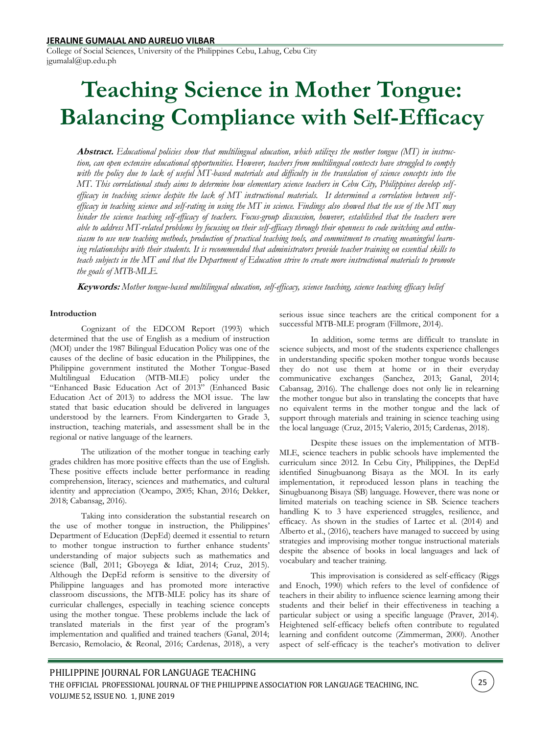College of Social Sciences, University of the Philippines Cebu, Lahug, Cebu City jgumalal@up.edu.ph

# **Teaching Science in Mother Tongue: Balancing Compliance with Self-Efficacy**

**Abstract.** *Educational policies show that multilingual education, which utilizes the mother tongue (MT) in instruction, can open extensive educational opportunities. However, teachers from multilingual contexts have struggled to comply*  with the policy due to lack of useful MT-based materials and difficulty in the translation of science concepts into the *MT. This correlational study aims to determine how elementary science teachers in Cebu City, Philippines develop selfefficacy in teaching science despite the lack of MT instructional materials. It determined a correlation between selfefficacy in teaching science and self-rating in using the MT in science. Findings also showed that the use of the MT may hinder the science teaching self-efficacy of teachers. Focus-group discussion, however, established that the teachers were able to address MT-related problems by focusing on their self-efficacy through their openness to code switching and enthusiasm to use new teaching methods, production of practical teaching tools, and commitment to creating meaningful learning relationships with their students. It is recommended that administrators provide teacher training on essential skills to teach subjects in the MT and that the Department of Education strive to create more instructional materials to promote the goals of MTB-MLE.* 

**Keywords:** *Mother tongue-based multilingual education, self-efficacy, science teaching, science teaching efficacy belief*

## **Introduction**

Cognizant of the EDCOM Report (1993) which determined that the use of English as a medium of instruction (MOI) under the 1987 Bilingual Education Policy was one of the causes of the decline of basic education in the Philippines, the Philippine government instituted the Mother Tongue-Based Multilingual Education (MTB-MLE) policy under the "Enhanced Basic Education Act of 2013" (Enhanced Basic Education Act of 2013) to address the MOI issue. The law stated that basic education should be delivered in languages understood by the learners. From Kindergarten to Grade 3, instruction, teaching materials, and assessment shall be in the regional or native language of the learners.

The utilization of the mother tongue in teaching early grades children has more positive effects than the use of English. These positive effects include better performance in reading comprehension, literacy, sciences and mathematics, and cultural identity and appreciation (Ocampo, 2005; Khan, 2016; Dekker, 2018; Cabansag, 2016).

Taking into consideration the substantial research on the use of mother tongue in instruction, the Philippines' Department of Education (DepEd) deemed it essential to return to mother tongue instruction to further enhance students' understanding of major subjects such as mathematics and science (Ball, 2011; Gboyega & Idiat, 2014; Cruz, 2015). Although the DepEd reform is sensitive to the diversity of Philippine languages and has promoted more interactive classroom discussions, the MTB-MLE policy has its share of curricular challenges, especially in teaching science concepts using the mother tongue. These problems include the lack of translated materials in the first year of the program's implementation and qualified and trained teachers (Ganal, 2014; Bercasio, Remolacio, & Reonal, 2016; Cardenas, 2018), a very

serious issue since teachers are the critical component for a successful MTB-MLE program (Fillmore, 2014).

In addition, some terms are difficult to translate in science subjects, and most of the students experience challenges in understanding specific spoken mother tongue words because they do not use them at home or in their everyday communicative exchanges (Sanchez, 2013; Ganal, 2014; Cabansag, 2016). The challenge does not only lie in relearning the mother tongue but also in translating the concepts that have no equivalent terms in the mother tongue and the lack of support through materials and training in science teaching using the local language (Cruz, 2015; Valerio, 2015; Cardenas, 2018).

Despite these issues on the implementation of MTB-MLE, science teachers in public schools have implemented the curriculum since 2012. In Cebu City, Philippines, the DepEd identified Sinugbuanong Bisaya as the MOI. In its early implementation, it reproduced lesson plans in teaching the Sinugbuanong Bisaya (SB) language. However, there was none or limited materials on teaching science in SB. Science teachers handling K to 3 have experienced struggles, resilience, and efficacy. As shown in the studies of Lartec et al. (2014) and Alberto et al., (2016), teachers have managed to succeed by using strategies and improvising mother tongue instructional materials despite the absence of books in local languages and lack of vocabulary and teacher training.

This improvisation is considered as self-efficacy (Riggs and Enoch, 1990) which refers to the level of confidence of teachers in their ability to influence science learning among their students and their belief in their effectiveness in teaching a particular subject or using a specific language (Praver, 2014). Heightened self-efficacy beliefs often contribute to regulated learning and confident outcome (Zimmerman, 2000). Another aspect of self-efficacy is the teacher's motivation to deliver

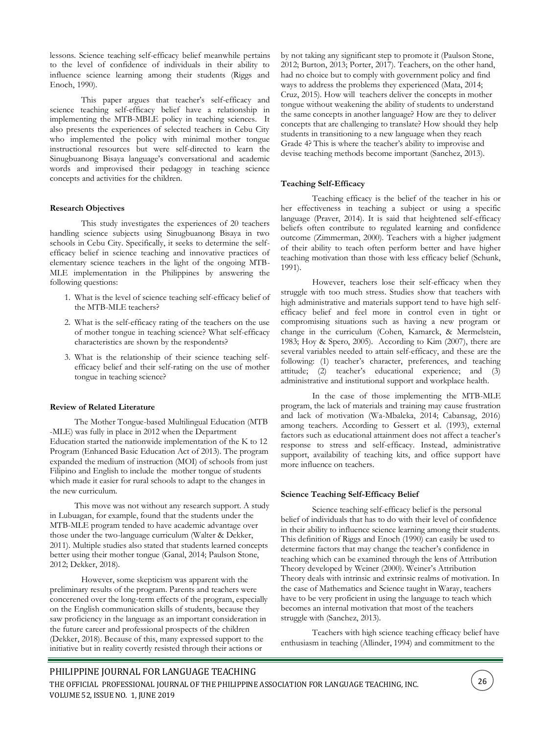lessons. Science teaching self-efficacy belief meanwhile pertains to the level of confidence of individuals in their ability to influence science learning among their students (Riggs and Enoch, 1990).

This paper argues that teacher's self-efficacy and science teaching self-efficacy belief have a relationship in implementing the MTB-MBLE policy in teaching sciences. It also presents the experiences of selected teachers in Cebu City who implemented the policy with minimal mother tongue instructional resources but were self-directed to learn the Sinugbuanong Bisaya language's conversational and academic words and improvised their pedagogy in teaching science concepts and activities for the children.

## **Research Objectives**

This study investigates the experiences of 20 teachers handling science subjects using Sinugbuanong Bisaya in two schools in Cebu City. Specifically, it seeks to determine the selfefficacy belief in science teaching and innovative practices of elementary science teachers in the light of the ongoing MTB-MLE implementation in the Philippines by answering the following questions:

- 1. What is the level of science teaching self-efficacy belief of the MTB-MLE teachers?
- 2. What is the self-efficacy rating of the teachers on the use of mother tongue in teaching science? What self-efficacy characteristics are shown by the respondents?
- 3. What is the relationship of their science teaching selfefficacy belief and their self-rating on the use of mother tongue in teaching science?

## **Review of Related Literature**

The Mother Tongue-based Multilingual Education (MTB -MLE) was fully in place in 2012 when the Department Education started the nationwide implementation of the K to 12 Program (Enhanced Basic Education Act of 2013). The program expanded the medium of instruction (MOI) of schools from just Filipino and English to include the mother tongue of students which made it easier for rural schools to adapt to the changes in the new curriculum.

This move was not without any research support. A study in Lubuagan, for example, found that the students under the MTB-MLE program tended to have academic advantage over those under the two-language curriculum (Walter & Dekker, 2011). Multiple studies also stated that students learned concepts better using their mother tongue (Ganal, 2014; Paulson Stone, 2012; Dekker, 2018).

However, some skepticism was apparent with the preliminary results of the program. Parents and teachers were concerened over the long-term effects of the program, especially on the English communication skills of students, because they saw proficiency in the language as an important consideration in the future career and professional prospects of the children (Dekker, 2018). Because of this, many expressed support to the initiative but in reality covertly resisted through their actions or

by not taking any significant step to promote it (Paulson Stone, 2012; Burton, 2013; Porter, 2017). Teachers, on the other hand, had no choice but to comply with government policy and find ways to address the problems they experienced (Mata, 2014; Cruz, 2015). How will teachers deliver the concepts in mother tongue without weakening the ability of students to understand the same concepts in another language? How are they to deliver concepts that are challenging to translate? How should they help students in transitioning to a new language when they reach Grade 4? This is where the teacher's ability to improvise and devise teaching methods become important (Sanchez, 2013).

#### **Teaching Self-Efficacy**

Teaching efficacy is the belief of the teacher in his or her effectiveness in teaching a subject or using a specific language (Praver, 2014). It is said that heightened self-efficacy beliefs often contribute to regulated learning and confidence outcome (Zimmerman, 2000). Teachers with a higher judgment of their ability to teach often perform better and have higher teaching motivation than those with less efficacy belief (Schunk, 1991).

However, teachers lose their self-efficacy when they struggle with too much stress. Studies show that teachers with high administrative and materials support tend to have high selfefficacy belief and feel more in control even in tight or compromising situations such as having a new program or change in the curriculum (Cohen, Kamarck, & Mermelstein, 1983; Hoy & Spero, 2005). According to Kim (2007), there are several variables needed to attain self-efficacy, and these are the following: (1) teacher's character, preferences, and teaching attitude; (2) teacher's educational experience; and (3) administrative and institutional support and workplace health.

In the case of those implementing the MTB-MLE program, the lack of materials and training may cause frustration and lack of motivation (Wa-Mbaleka, 2014; Cabansag, 2016) among teachers. According to Gessert et al. (1993), external factors such as educational attainment does not affect a teacher's response to stress and self-efficacy. Instead, administrative support, availability of teaching kits, and office support have more influence on teachers.

#### **Science Teaching Self-Efficacy Belief**

Science teaching self-efficacy belief is the personal belief of individuals that has to do with their level of confidence in their ability to influence science learning among their students. This definition of Riggs and Enoch (1990) can easily be used to determine factors that may change the teacher's confidence in teaching which can be examined through the lens of Attribution Theory developed by Weiner (2000). Weiner's Attribution Theory deals with intrinsic and extrinsic realms of motivation. In the case of Mathematics and Science taught in Waray, teachers have to be very proficient in using the language to teach which becomes an internal motivation that most of the teachers struggle with (Sanchez, 2013).

Teachers with high science teaching efficacy belief have enthusiasm in teaching (Allinder, 1994) and commitment to the

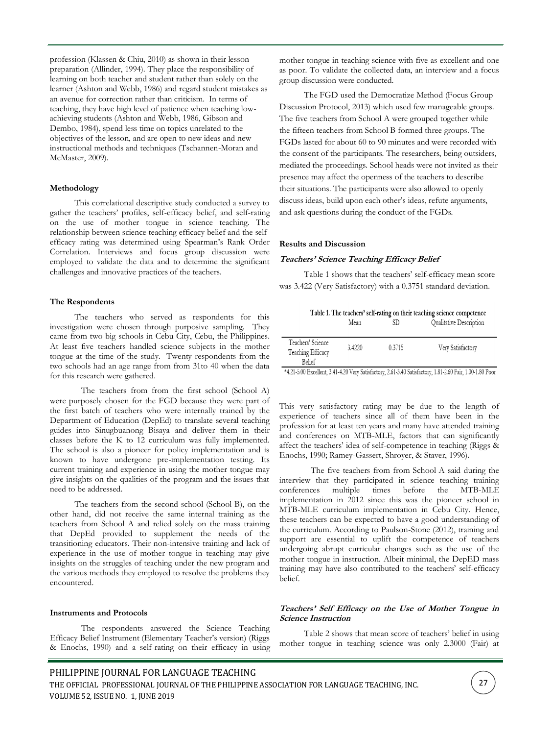profession (Klassen & Chiu, 2010) as shown in their lesson preparation (Allinder, 1994). They place the responsibility of learning on both teacher and student rather than solely on the learner (Ashton and Webb, 1986) and regard student mistakes as an avenue for correction rather than criticism. In terms of teaching, they have high level of patience when teaching lowachieving students (Ashton and Webb, 1986, Gibson and Dembo, 1984), spend less time on topics unrelated to the objectives of the lesson, and are open to new ideas and new instructional methods and techniques (Tschannen-Moran and McMaster, 2009).

#### **Methodology**

This correlational descriptive study conducted a survey to gather the teachers' profiles, self-efficacy belief, and self-rating on the use of mother tongue in science teaching. The relationship between science teaching efficacy belief and the selfefficacy rating was determined using Spearman's Rank Order Correlation. Interviews and focus group discussion were employed to validate the data and to determine the significant challenges and innovative practices of the teachers.

### **The Respondents**

The teachers who served as respondents for this investigation were chosen through purposive sampling. They came from two big schools in Cebu City, Cebu, the Philippines. At least five teachers handled science subjects in the mother tongue at the time of the study. Twenty respondents from the two schools had an age range from from 31to 40 when the data for this research were gathered.

The teachers from from the first school (School A) were purposely chosen for the FGD because they were part of the first batch of teachers who were internally trained by the Department of Education (DepEd) to translate several teaching guides into Sinugbuanong Bisaya and deliver them in their classes before the K to 12 curriculum was fully implemented. The school is also a pioneer for policy implementation and is known to have undergone pre-implementation testing. Its current training and experience in using the mother tongue may give insights on the qualities of the program and the issues that need to be addressed.

The teachers from the second school (School B), on the other hand, did not receive the same internal training as the teachers from School A and relied solely on the mass training that DepEd provided to supplement the needs of the transitioning educators. Their non-intensive training and lack of experience in the use of mother tongue in teaching may give insights on the struggles of teaching under the new program and the various methods they employed to resolve the problems they encountered.

#### **Instruments and Protocols**

The respondents answered the Science Teaching Efficacy Belief Instrument (Elementary Teacher's version) (Riggs & Enochs, 1990) and a self-rating on their efficacy in using mother tongue in teaching science with five as excellent and one as poor. To validate the collected data, an interview and a focus group discussion were conducted.

The FGD used the Democratize Method (Focus Group Discussion Protocol, 2013) which used few manageable groups. The five teachers from School A were grouped together while the fifteen teachers from School B formed three groups. The FGDs lasted for about 60 to 90 minutes and were recorded with the consent of the participants. The researchers, being outsiders, mediated the proceedings. School heads were not invited as their presence may affect the openness of the teachers to describe their situations. The participants were also allowed to openly discuss ideas, build upon each other's ideas, refute arguments, and ask questions during the conduct of the FGDs.

#### **Results and Discussion**

#### **Teachers' Science Teaching Efficacy Belief**

Table 1 shows that the teachers' self-efficacy mean score was 3.422 (Very Satisfactory) with a 0.3751 standard deviation.

|      |     | Table 1. The teachers' self-rating on their teaching science competence |
|------|-----|-------------------------------------------------------------------------|
| Mean | -SD | Qualitative Description                                                 |

| Teachers' Science<br>Teaching Efficacy<br><b>Belief</b> | 3.4220 | 0.3715 | Very Satisfactory |
|---------------------------------------------------------|--------|--------|-------------------|

\*4.21-5.00 Excellent, 3.41-4.20 Very Satisfactory, 2.61-3.40 Satisfactory, 1.81-2.60 Fair, 1.00-1.80 Poor

This very satisfactory rating may be due to the length of experience of teachers since all of them have been in the profession for at least ten years and many have attended training and conferences on MTB-MLE, factors that can significantly affect the teachers' idea of self-competence in teaching (Riggs & Enochs, 1990; Ramey-Gassert, Shroyer, & Staver, 1996).

The five teachers from from School A said during the interview that they participated in science teaching training conferences multiple times before the MTB-MLE implementation in 2012 since this was the pioneer school in MTB-MLE curriculum implementation in Cebu City. Hence, these teachers can be expected to have a good understanding of the curriculum. According to Paulson-Stone (2012), training and support are essential to uplift the competence of teachers undergoing abrupt curricular changes such as the use of the mother tongue in instruction. Albeit minimal, the DepED mass training may have also contributed to the teachers' self-efficacy belief.

## **Teachers' Self Efficacy on the Use of Mother Tongue in Science Instruction**

Table 2 shows that mean score of teachers' belief in using mother tongue in teaching science was only 2.3000 (Fair) at

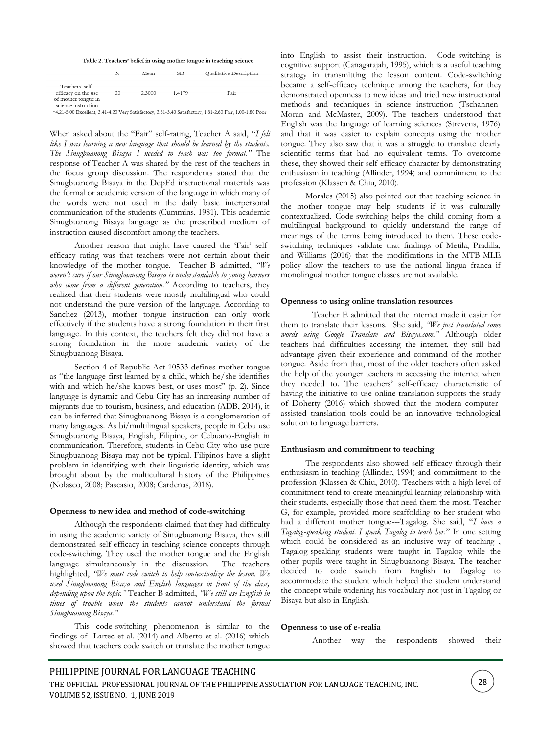|  |  |  | Table 2. Teachers' belief in using mother tongue in teaching science |
|--|--|--|----------------------------------------------------------------------|
|--|--|--|----------------------------------------------------------------------|

|                                                                                      |    | Mean                                               | SD.                                    | Qualitative Description |
|--------------------------------------------------------------------------------------|----|----------------------------------------------------|----------------------------------------|-------------------------|
| Teachers' self-<br>efficacy on the use<br>of mother tongue in<br>science instruction | 20 | 2.3000                                             | 1.4179                                 | Fair                    |
|                                                                                      |    | $\sim$ $\sim$<br><b>Contract Contract Contract</b> | .<br><b>Contract Contract Contract</b> | 1.001300<br>1.01.02101  |

\*4.21-5.00 Excellent, 3.41-4.20 Very Satisfactory, 2.61-3.40 Satisfactory, 1.81-2.60 Fair, 1.00-1.80 Poor

When asked about the "Fair" self-rating, Teacher A said, "*I felt like I was learning a new language that should be learned by the students. The Sinugbuanong Bisaya I needed to teach was too formal."* The response of Teacher A was shared by the rest of the teachers in the focus group discussion. The respondents stated that the Sinugbuanong Bisaya in the DepEd instructional materials was the formal or academic version of the language in which many of the words were not used in the daily basic interpersonal communication of the students (Cummins, 1981). This academic Sinugbuanong Bisaya language as the prescribed medium of instruction caused discomfort among the teachers.

Another reason that might have caused the 'Fair' selfefficacy rating was that teachers were not certain about their knowledge of the mother tongue. Teacher B admitted, *"We weren't sure if our Sinugbuanong Bisaya is understandable to young learners who come from a different generation."* According to teachers, they realized that their students were mostly multilingual who could not understand the pure version of the language. According to Sanchez (2013), mother tongue instruction can only work effectively if the students have a strong foundation in their first language. In this context, the teachers felt they did not have a strong foundation in the more academic variety of the Sinugbuanong Bisaya.

Section 4 of Republic Act 10533 defines mother tongue as "the language first learned by a child, which he/she identifies with and which he/she knows best, or uses most" (p. 2). Since language is dynamic and Cebu City has an increasing number of migrants due to tourism, business, and education (ADB, 2014), it can be inferred that Sinugbuanong Bisaya is a conglomeration of many languages. As bi/multilingual speakers, people in Cebu use Sinugbuanong Bisaya, English, Filipino, or Cebuano-English in communication. Therefore, students in Cebu City who use pure Sinugbuanong Bisaya may not be typical. Filipinos have a slight problem in identifying with their linguistic identity, which was brought about by the multicultural history of the Philippines (Nolasco, 2008; Pascasio, 2008; Cardenas, 2018).

#### **Openness to new idea and method of code-switching**

Although the respondents claimed that they had difficulty in using the academic variety of Sinugbuanong Bisaya, they still demonstrated self-efficacy in teaching science concepts through code-switching. They used the mother tongue and the English language simultaneously in the discussion. The teachers highlighted, *"We must code switch to help contextualize the lesson. We used Sinugbuanong Bisaya and English languages in front of the class, depending upon the topic."* Teacher B admitted, *"We still use English in times of trouble when the students cannot understand the formal Sinugbuanong Bisaya."*

This code-switching phenomenon is similar to the findings of Lartec et al. (2014) and Alberto et al. (2016) which showed that teachers code switch or translate the mother tongue

into English to assist their instruction. Code-switching is cognitive support (Canagarajah, 1995), which is a useful teaching strategy in transmitting the lesson content. Code-switching became a self-efficacy technique among the teachers, for they demonstrated openness to new ideas and tried new instructional methods and techniques in science instruction (Tschannen-Moran and McMaster, 2009). The teachers understood that English was the language of learning sciences (Strevens, 1976) and that it was easier to explain concepts using the mother tongue. They also saw that it was a struggle to translate clearly scientific terms that had no equivalent terms. To overcome these, they showed their self-efficacy character by demonstrating enthusiasm in teaching (Allinder, 1994) and commitment to the profession (Klassen & Chiu, 2010).

Morales (2015) also pointed out that teaching science in the mother tongue may help students if it was culturally contextualized. Code-switching helps the child coming from a multilingual background to quickly understand the range of meanings of the terms being introduced to them. These codeswitching techniques validate that findings of Metila, Pradilla, and Williams (2016) that the modifications in the MTB-MLE policy allow the teachers to use the national lingua franca if monolingual mother tongue classes are not available.

#### **Openness to using online translation resources**

Teacher E admitted that the internet made it easier for them to translate their lessons. She said, *"We just translated some words using Google Translate and Bisaya.com."* Although older teachers had difficulties accessing the internet, they still had advantage given their experience and command of the mother tongue. Aside from that, most of the older teachers often asked the help of the younger teachers in accessing the internet when they needed to. The teachers' self-efficacy characteristic of having the initiative to use online translation supports the study of Doherty (2016) which showed that the modern computerassisted translation tools could be an innovative technological solution to language barriers.

#### **Enthusiasm and commitment to teaching**

The respondents also showed self-efficacy through their enthusiasm in teaching (Allinder, 1994) and commitment to the profession (Klassen & Chiu, 2010). Teachers with a high level of commitment tend to create meaningful learning relationship with their students, especially those that need them the most. Teacher G, for example, provided more scaffolding to her student who had a different mother tongue---Tagalog. She said, "*I have a Tagalog-speaking student. I speak Tagalog to teach her*." In one setting which could be considered as an inclusive way of teaching. Tagalog-speaking students were taught in Tagalog while the other pupils were taught in Sinugbuanong Bisaya. The teacher decided to code switch from English to Tagalog to accommodate the student which helped the student understand the concept while widening his vocabulary not just in Tagalog or Bisaya but also in English.

### **Openness to use of e-realia**

Another way the respondents showed their

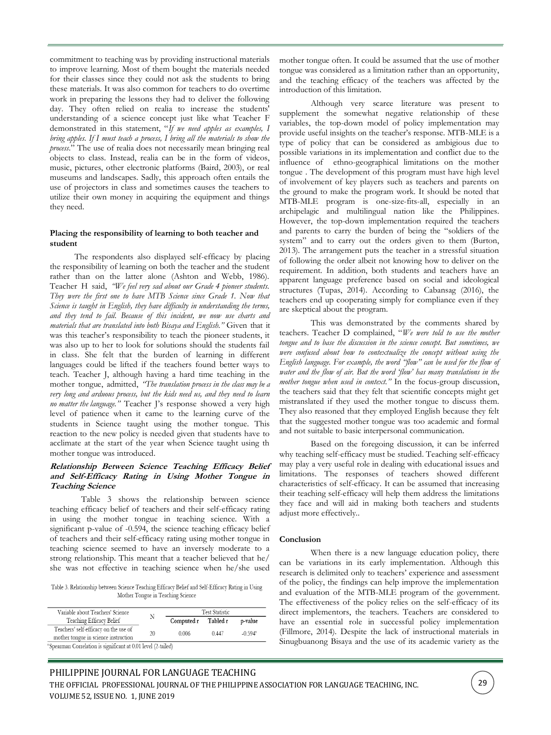commitment to teaching was by providing instructional materials to improve learning. Most of them bought the materials needed for their classes since they could not ask the students to bring these materials. It was also common for teachers to do overtime work in preparing the lessons they had to deliver the following day. They often relied on realia to increase the students' understanding of a science concept just like what Teacher F demonstrated in this statement, "*If we need apples as examples, I bring apples. If I must teach a process, I bring all the materials to show the process*." The use of realia does not necessarily mean bringing real objects to class. Instead, realia can be in the form of videos, music, pictures, other electronic platforms (Baird, 2003), or real museums and landscapes. Sadly, this approach often entails the use of projectors in class and sometimes causes the teachers to utilize their own money in acquiring the equipment and things they need.

## **Placing the responsibility of learning to both teacher and student**

The respondents also displayed self-efficacy by placing the responsibility of learning on both the teacher and the student rather than on the latter alone (Ashton and Webb, 1986). Teacher H said, *"We feel very sad about our Grade 4 pioneer students. They were the first one to have MTB Science since Grade 1. Now that Science is taught in English, they have difficulty in understanding the terms, and they tend to fail. Because of this incident, we now use charts and materials that are translated into both Bisaya and English."* Given that it was this teacher's responsibility to teach the pioneer students, it was also up to her to look for solutions should the students fail in class. She felt that the burden of learning in different languages could be lifted if the teachers found better ways to teach. Teacher J, although having a hard time teaching in the mother tongue, admitted, *"The translation process in the class may be a very long and arduous process, but the kids need us, and they need to learn no matter the language."* Teacher J's response showed a very high level of patience when it came to the learning curve of the students in Science taught using the mother tongue. This reaction to the new policy is needed given that students have to acclimate at the start of the year when Science taught using th mother tongue was introduced.

## **Relationship Between Science Teaching Efficacy Belief and Self-Efficacy Rating in Using Mother Tongue in Teaching Science**

Table 3 shows the relationship between science teaching efficacy belief of teachers and their self-efficacy rating in using the mother tongue in teaching science. With a significant p-value of -0.594, the science teaching efficacy belief of teachers and their self-efficacy rating using mother tongue in teaching science seemed to have an inversely moderate to a strong relationship. This meant that a teacher believed that he/ she was not effective in teaching science when he/she used

Table 3. Relationship between Science Teaching Efficacy Belief and Self-Efficacy Rating in Using Mother Tongue in Teaching Science

| Variable about Teachers' Science                                          |    | <b>Test Statistic</b> |          |                       |
|---------------------------------------------------------------------------|----|-----------------------|----------|-----------------------|
| Teaching Efficacy Belief                                                  | Ν  | Computed r            | Tabled r | p-value               |
| Teachers' self-efficacy on the use of                                     |    | 0.006                 | 0447     | $-0.594$ <sup>s</sup> |
| mother tongue in science instruction                                      | 20 |                       |          |                       |
| <sup>8</sup> Spearman Correlation is significant at 0.01 level (2-tailed) |    |                       |          |                       |

mother tongue often. It could be assumed that the use of mother tongue was considered as a limitation rather than an opportunity, and the teaching efficacy of the teachers was affected by the introduction of this limitation.

Although very scarce literature was present to supplement the somewhat negative relationship of these variables, the top-down model of policy implementation may provide useful insights on the teacher's response. MTB-MLE is a type of policy that can be considered as ambigious due to possible variations in its implementation and conflict due to the influence of ethno-geographical limitations on the mother tongue . The development of this program must have high level of involvement of key players such as teachers and parents on the ground to make the program work. It should be noted that MTB-MLE program is one-size-fits-all, especially in an archipelagic and multilingual nation like the Philippines. However, the top-down implementation required the teachers and parents to carry the burden of being the "soldiers of the system" and to carry out the orders given to them (Burton, 2013). The arrangement puts the teacher in a stressful situation of following the order albeit not knowing how to deliver on the requirement. In addition, both students and teachers have an apparent language preference based on social and ideological structures (Tupas, 2014). According to Cabansag (2016), the teachers end up cooperating simply for compliance even if they are skeptical about the program.

This was demonstrated by the comments shared by teachers. Teacher D complained, "*We were told to use the mother tongue and to base the discussion in the science concept. But sometimes, we were confused about how to contextualize the concept without using the English language. For example, the word "flow" can be used for the flow of water and the flow of air. But the word 'flow' has many translations in the mother tongue when used in context."* In the focus-group discussion, the teachers said that they felt that scientific concepts might get mistranslated if they used the mother tongue to discuss them. They also reasoned that they employed English because they felt that the suggested mother tongue was too academic and formal and not suitable to basic interpersonal communication.

Based on the foregoing discussion, it can be inferred why teaching self-efficacy must be studied. Teaching self-efficacy may play a very useful role in dealing with educational issues and limitations. The responses of teachers showed different characteristics of self-efficacy. It can be assumed that increasing their teaching self-efficacy will help them address the limitations they face and will aid in making both teachers and students adjust more effectively..

## **Conclusion**

When there is a new language education policy, there can be variations in its early implementation. Although this research is delimited only to teachers' experience and assessment of the policy, the findings can help improve the implementation and evaluation of the MTB-MLE program of the government. The effectiveness of the policy relies on the self-efficacy of its direct implementors, the teachers. Teachers are considered to have an essential role in successful policy implementation (Fillmore, 2014). Despite the lack of instructional materials in Sinugbuanong Bisaya and the use of its academic variety as the

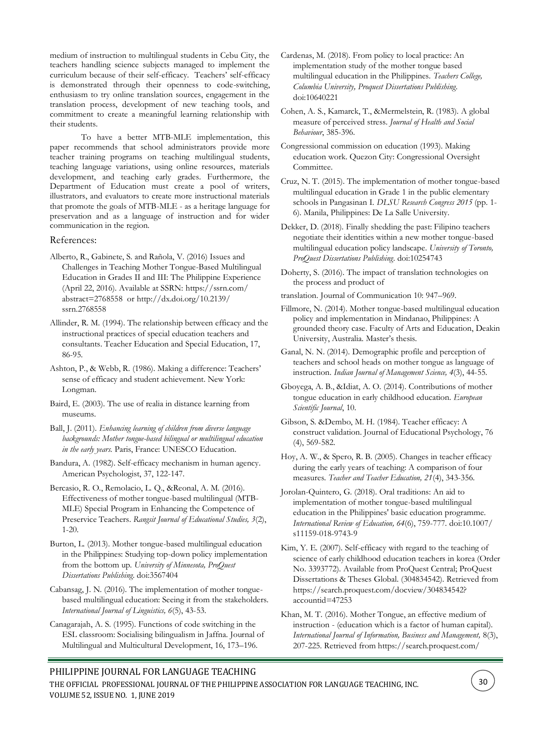medium of instruction to multilingual students in Cebu City, the teachers handling science subjects managed to implement the curriculum because of their self-efficacy. Teachers' self-efficacy is demonstrated through their openness to code-switching, enthusiasm to try online translation sources, engagement in the translation process, development of new teaching tools, and commitment to create a meaningful learning relationship with their students.

To have a better MTB-MLE implementation, this paper recommends that school administrators provide more teacher training programs on teaching multilingual students, teaching language variations, using online resources, materials development, and teaching early grades. Furthermore, the Department of Education must create a pool of writers, illustrators, and evaluators to create more instructional materials that promote the goals of MTB-MLE - as a heritage language for preservation and as a language of instruction and for wider communication in the region.

## References:

- Alberto, R., Gabinete, S. and Rañola, V. (2016) Issues and Challenges in Teaching Mother Tongue-Based Multilingual Education in Grades II and III: The Philippine Experience (April 22, 2016). Available at SSRN: https://ssrn.com/ abstract=2768558 or http://dx.doi.org/10.2139/ ssrn.2768558
- Allinder, R. M. (1994). The relationship between efficacy and the instructional practices of special education teachers and consultants. Teacher Education and Special Education, 17, 86-95.
- Ashton, P., & Webb, R. (1986). Making a difference: Teachers' sense of efficacy and student achievement. New York: Longman.
- Baird, E. (2003). The use of realia in distance learning from museums.
- Ball, J. (2011). *Enhancing learning of children from diverse language backgrounds: Mother tongue-based bilingual or multilingual education in the early years.* Paris, France: UNESCO Education.
- Bandura, A. (1982). Self-efficacy mechanism in human agency. American Psychologist, 37, 122-147.
- Bercasio, R. O., Remolacio, L. Q., &Reonal, A. M. (2016). Effectiveness of mother tongue-based multilingual (MTB-MLE) Special Program in Enhancing the Competence of Preservice Teachers. *Rangsit Journal of Educational Studies, 3*(2), 1-20.

Burton, L. (2013). Mother tongue-based multilingual education in the Philippines: Studying top-down policy implementation from the bottom up. *University of Minnesota, ProQuest Dissertations Publishing*. doi:3567404

Cabansag, J. N. (2016). The implementation of mother tonguebased multilingual education: Seeing it from the stakeholders. *International Journal of Linguistics, 6*(5), 43-53.

Canagarajah, A. S. (1995). Functions of code switching in the ESL classroom: Socialising bilingualism in Jaffna. Journal of Multilingual and Multicultural Development, 16, 173–196.

- Cardenas, M. (2018). From policy to local practice: An implementation study of the mother tongue based multilingual education in the Philippines. *Teachers College, Columbia University, Proquest Dissertations Publishing*. doi:10640221
- Cohen, A. S., Kamarck, T., &Mermelstein, R. (1983). A global measure of perceived stress. *Journal of Health and Social Behaviour*, 385-396.
- Congressional commission on education (1993). Making education work. Quezon City: Congressional Oversight Committee.
- Cruz, N. T. (2015). The implementation of mother tongue-based multilingual education in Grade 1 in the public elementary schools in Pangasinan I. *DLSU Research Congress 2015* (pp. 1- 6). Manila, Philippines: De La Salle University.
- Dekker, D. (2018). Finally shedding the past: Filipino teachers negotiate their identities within a new mother tongue-based multilingual education policy landscape. *University of Toronto, ProQuest Dissertations Publishing*. doi:10254743
- Doherty, S. (2016). The impact of translation technologies on the process and product of
- translation. Journal of Communication 10: 947–969.
- Fillmore, N. (2014). Mother tongue-based multilingual education policy and implementation in Mindanao, Philippines: A grounded theory case. Faculty of Arts and Education, Deakin University, Australia. Master's thesis.
- Ganal, N. N. (2014). Demographic profile and perception of teachers and school heads on mother tongue as language of instruction. *Indian Journal of Management Science, 4*(3), 44-55.
- Gboyega, A. B., &Idiat, A. O. (2014). Contributions of mother tongue education in early childhood education. *European Scientific Journal*, 10.
- Gibson, S. &Dembo, M. H. (1984). Teacher efficacy: A construct validation. Journal of Educational Psychology, 76 (4), 569-582.
- Hoy, A. W., & Spero, R. B. (2005). Changes in teacher efficacy during the early years of teaching: A comparison of four measures. *Teacher and Teacher Education, 21*(4), 343-356.

Jorolan-Quintero, G. (2018). Oral traditions: An aid to implementation of mother tongue-based multilingual education in the Philippines' basic education programme. *International Review of Education, 64*(6), 759-777. doi:10.1007/ s11159-018-9743-9

- Kim, Y. E. (2007). Self-efficacy with regard to the teaching of science of early childhood education teachers in korea (Order No. 3393772). Available from ProQuest Central; ProQuest Dissertations & Theses Global. (304834542). Retrieved from https://search.proquest.com/docview/304834542? accountid=47253
- Khan, M. T. (2016). Mother Tongue, an effective medium of instruction - (education which is a factor of human capital). *International Journal of Information, Business and Management,* 8(3), 207-225. Retrieved from https://search.proquest.com/

## PHILIPPINE JOURNAL FOR LANGUAGE TEACHING

THE OFFICIAL PROFESSIONAL JOURNAL OF THE PHILIPPINE ASSOCIATION FOR LANGUAGE TEACHING, INC. VOLUME 52, ISSUE NO. 1, JUNE 2019